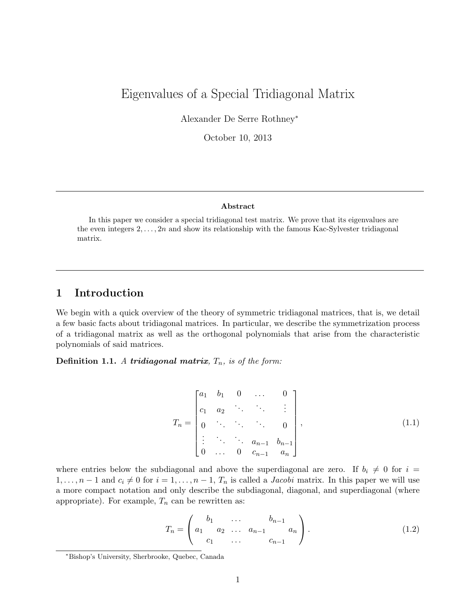# Eigenvalues of a Special Tridiagonal Matrix

Alexander De Serre Rothney<sup>∗</sup>

October 10, 2013

#### Abstract

In this paper we consider a special tridiagonal test matrix. We prove that its eigenvalues are the even integers  $2, \ldots, 2n$  and show its relationship with the famous Kac-Sylvester tridiagonal matrix.

# 1 Introduction

We begin with a quick overview of the theory of symmetric tridiagonal matrices, that is, we detail a few basic facts about tridiagonal matrices. In particular, we describe the symmetrization process of a tridiagonal matrix as well as the orthogonal polynomials that arise from the characteristic polynomials of said matrices.

**Definition 1.1.** A tridiagonal matrix,  $T_n$ , is of the form:

$$
T_n = \begin{bmatrix} a_1 & b_1 & 0 & \dots & 0 \\ c_1 & a_2 & \ddots & \ddots & \vdots \\ 0 & \ddots & \ddots & \ddots & 0 \\ \vdots & \ddots & \ddots & a_{n-1} & b_{n-1} \\ 0 & \dots & 0 & c_{n-1} & a_n \end{bmatrix},
$$
(1.1)

where entries below the subdiagonal and above the superdiagonal are zero. If  $b_i \neq 0$  for  $i =$  $1, \ldots, n-1$  and  $c_i \neq 0$  for  $i = 1, \ldots, n-1$ ,  $T_n$  is called a *Jacobi* matrix. In this paper we will use a more compact notation and only describe the subdiagonal, diagonal, and superdiagonal (where appropriate). For example,  $T_n$  can be rewritten as:

$$
T_n = \begin{pmatrix} b_1 & \dots & b_{n-1} \\ a_1 & a_2 & \dots & a_{n-1} & a_n \\ c_1 & \dots & c_{n-1} & \end{pmatrix}.
$$
 (1.2)

<sup>∗</sup>Bishop's University, Sherbrooke, Quebec, Canada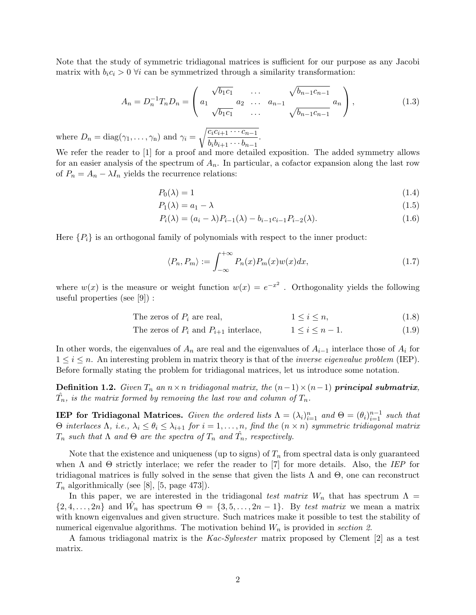Note that the study of symmetric tridiagonal matrices is sufficient for our purpose as any Jacobi matrix with  $b_i c_i > 0$   $\forall i$  can be symmetrized through a similarity transformation:

$$
A_n = D_n^{-1} T_n D_n = \begin{pmatrix} \sqrt{b_1 c_1} & \cdots & \sqrt{b_{n-1} c_{n-1}} \\ a_1 & a_2 & \cdots & a_{n-1} \\ \sqrt{b_1 c_1} & \cdots & \sqrt{b_{n-1} c_{n-1}} \end{pmatrix},
$$
(1.3)

where  $D_n = \text{diag}(\gamma_1, \ldots, \gamma_n)$  and  $\gamma_i = \sqrt{\frac{c_i c_{i+1} \cdots c_{n-1}}{l_i l_i}}$  $\frac{b_i b_{i+1} \cdots b_{n-1}}{b_i b_{i+1} \cdots b_{n-1}}$ 

We refer the reader to [1] for a proof and more detailed exposition. The added symmetry allows for an easier analysis of the spectrum of  $A_n$ . In particular, a cofactor expansion along the last row of  $P_n = A_n - \lambda I_n$  yields the recurrence relations:

$$
P_0(\lambda) = 1\tag{1.4}
$$

$$
P_1(\lambda) = a_1 - \lambda \tag{1.5}
$$

$$
P_i(\lambda) = (a_i - \lambda)P_{i-1}(\lambda) - b_{i-1}c_{i-1}P_{i-2}(\lambda).
$$
\n(1.6)

Here  $\{P_i\}$  is an orthogonal family of polynomials with respect to the inner product:

$$
\langle P_n, P_m \rangle := \int_{-\infty}^{+\infty} P_n(x) P_m(x) w(x) dx, \tag{1.7}
$$

where  $w(x)$  is the measure or weight function  $w(x) = e^{-x^2}$ . Orthogonality yields the following useful properties (see [9]) :

The zeros of 
$$
P_i
$$
 are real,  $1 \le i \le n$ ,  $(1.8)$ 

The zeros of 
$$
P_i
$$
 and  $P_{i+1}$  interface,  $1 \le i \le n-1$ . (1.9)

In other words, the eigenvalues of  $A_n$  are real and the eigenvalues of  $A_{i-1}$  interlace those of  $A_i$  for  $1 \leq i \leq n$ . An interesting problem in matrix theory is that of the *inverse eigenvalue problem* (IEP). Before formally stating the problem for tridiagonal matrices, let us introduce some notation.

**Definition 1.2.** Given  $T_n$  an  $n \times n$  tridiagonal matrix, the  $(n-1) \times (n-1)$  **principal submatrix**,  $\hat{T_n}$ , is the matrix formed by removing the last row and column of  $T_n$ .

**IEP** for Tridiagonal Matrices. Given the ordered lists  $\Lambda = (\lambda_i)_{i=1}^n$  and  $\Theta = (\theta_i)_{i=1}^{n-1}$  such that Θ interlaces Λ, i.e.,  $\lambda_i \leq \theta_i \leq \lambda_{i+1}$  for  $i = 1, \ldots, n$ , find the  $(n \times n)$  symmetric tridiagonal matrix  $T_n$  such that  $\Lambda$  and  $\Theta$  are the spectra of  $T_n$  and  $\hat{T_n}$ , respectively.

Note that the existence and uniqueness (up to signs) of  $T_n$  from spectral data is only guaranteed when  $\Lambda$  and  $\Theta$  strictly interlace; we refer the reader to [7] for more details. Also, the IEP for tridiagonal matrices is fully solved in the sense that given the lists  $\Lambda$  and  $\Theta$ , one can reconstruct  $T_n$  algorithmically (see [8], [5, page 473]).

In this paper, we are interested in the tridiagonal test matrix  $W_n$  that has spectrum  $\Lambda$  =  $\{2, 4, \ldots, 2n\}$  and  $\hat{W}_n$  has spectrum  $\Theta = \{3, 5, \ldots, 2n-1\}$ . By test matrix we mean a matrix with known eigenvalues and given structure. Such matrices make it possible to test the stability of numerical eigenvalue algorithms. The motivation behind  $W_n$  is provided in section 2.

A famous tridiagonal matrix is the Kac-Sylvester matrix proposed by Clement [2] as a test matrix.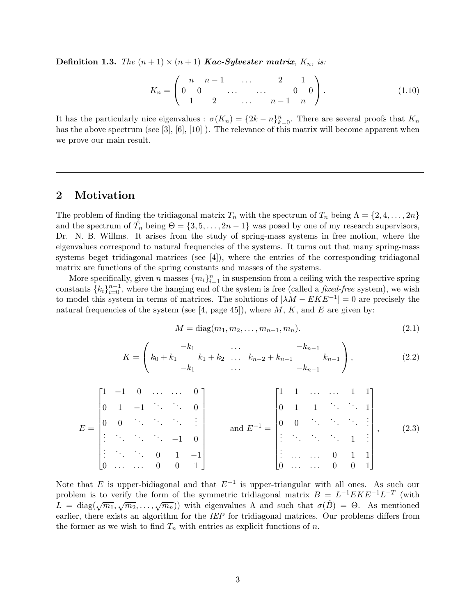**Definition 1.3.** The  $(n+1) \times (n+1)$  **Kac-Sylvester matrix**,  $K_n$ , is:

$$
K_n = \begin{pmatrix} n & n-1 & \dots & 2 & 1 \\ 0 & 0 & \dots & \dots & 0 & 0 \\ 1 & 2 & \dots & n-1 & n \end{pmatrix}.
$$
 (1.10)

It has the particularly nice eigenvalues :  $\sigma(K_n) = \{2k - n\}_{k=0}^n$ . There are several proofs that  $K_n$ has the above spectrum (see [3], [6], [10]). The relevance of this matrix will become apparent when we prove our main result.

### 2 Motivation

The problem of finding the tridiagonal matrix  $T_n$  with the spectrum of  $T_n$  being  $\Lambda = \{2, 4, \ldots, 2n\}$ and the spectrum of  $\tilde{T}_n$  being  $\Theta = \{3, 5, \ldots, 2n-1\}$  was posed by one of my research supervisors, Dr. N. B. Willms. It arises from the study of spring-mass systems in free motion, where the eigenvalues correspond to natural frequencies of the systems. It turns out that many spring-mass systems beget tridiagonal matrices (see [4]), where the entries of the corresponding tridiagonal matrix are functions of the spring constants and masses of the systems.

More specifically, given n masses  $\{m_i\}_{i=1}^n$  in suspension from a ceiling with the respective spring constants  $\{k_i\}_{i=0}^{n-1}$ , where the hanging end of the system is free (called a *fixed-free* system), we wish to model this system in terms of matrices. The solutions of  $|\lambda M - EKE^{-1}| = 0$  are precisely the natural frequencies of the system (see [4, page 45]), where  $M$ ,  $K$ , and  $E$  are given by:

$$
M = \text{diag}(m_1, m_2, \dots, m_{n-1}, m_n). \tag{2.1}
$$

$$
K = \begin{pmatrix} -k_1 & \cdots & -k_{n-1} \\ k_0 + k_1 & k_1 + k_2 & \cdots & k_{n-2} + k_{n-1} \\ -k_1 & \cdots & \cdots & -k_{n-1} \end{pmatrix},
$$
(2.2)

$$
E = \begin{bmatrix} 1 & -1 & 0 & \dots & \dots & 0 \\ 0 & 1 & -1 & \ddots & \ddots & 0 \\ 0 & 0 & \ddots & \ddots & \ddots & \vdots \\ \vdots & \ddots & \ddots & \ddots & -1 & 0 \\ 0 & \dots & \dots & 0 & 1 & -1 \\ 0 & \dots & \dots & 0 & 0 & 1 \end{bmatrix} \quad \text{and } E^{-1} = \begin{bmatrix} 1 & 1 & \dots & \dots & 1 & 1 \\ 0 & 1 & 1 & \ddots & \ddots & 1 & 1 \\ 0 & 0 & \ddots & \ddots & \ddots & 1 & \vdots \\ \vdots & \ddots & \ddots & \ddots & 1 & \vdots \\ 0 & \dots & \dots & 0 & 1 & 1 \\ 0 & \dots & \dots & 0 & 0 & 1 \end{bmatrix}, \quad (2.3)
$$

Note that E is upper-bidiagonal and that  $E^{-1}$  is upper-triangular with all ones. As such our problem is to verify the form of the symmetric tridiagonal matrix  $B = L^{-1} E K E^{-1} L^{-T}$  (with  $L = \text{diag}(\sqrt{m_1}, \sqrt{m_2}, \dots, \sqrt{m_n})$  with eigenvalues Λ and such that  $\sigma(\hat{B}) = \Theta$ . As mentioned earlier, there exists an algorithm for the IEP for tridiagonal matrices. Our problems differs from the former as we wish to find  $T_n$  with entries as explicit functions of n.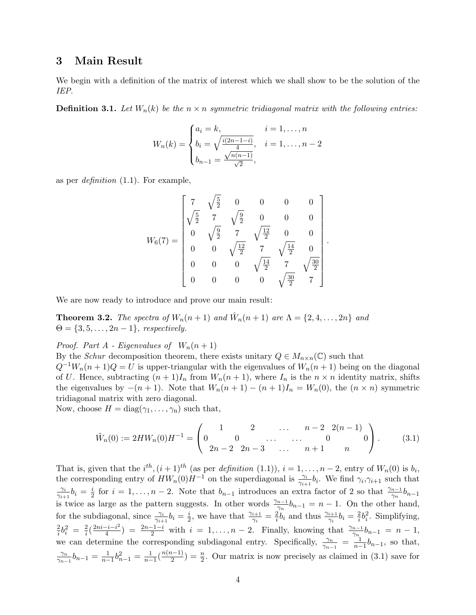#### 3 Main Result

We begin with a definition of the matrix of interest which we shall show to be the solution of the IEP.

**Definition 3.1.** Let  $W_n(k)$  be the  $n \times n$  symmetric tridiagonal matrix with the following entries:

$$
W_n(k) = \begin{cases} a_i = k, & i = 1, \dots, n \\ b_i = \sqrt{\frac{i(2n-1-i)}{4}}, & i = 1, \dots, n-2 \\ b_{n-1} = \frac{\sqrt{n(n-1)}}{\sqrt{2}}, & \end{cases}
$$

as per *definition*  $(1.1)$ . For example,

$$
W_6(7) = \begin{bmatrix} 7 & \sqrt{\frac{5}{2}} & 0 & 0 & 0 & 0 \\ \sqrt{\frac{5}{2}} & 7 & \sqrt{\frac{9}{2}} & 0 & 0 & 0 \\ 0 & \sqrt{\frac{9}{2}} & 7 & \sqrt{\frac{12}{2}} & 0 & 0 \\ 0 & 0 & \sqrt{\frac{12}{2}} & 7 & \sqrt{\frac{14}{2}} & 0 \\ 0 & 0 & 0 & \sqrt{\frac{14}{2}} & 7 & \sqrt{\frac{30}{2}} \\ 0 & 0 & 0 & 0 & \sqrt{\frac{30}{2}} & 7 \end{bmatrix}
$$

.

We are now ready to introduce and prove our main result:

**Theorem 3.2.** The spectra of  $W_n(n+1)$  and  $\hat{W}_n(n+1)$  are  $\Lambda = \{2, 4, ..., 2n\}$  and  $\Theta = \{3, 5, \ldots, 2n-1\}$ , respectively.

Proof. Part A - Eigenvalues of  $W_n(n+1)$ 

By the *Schur* decomposition theorem, there exists unitary  $Q \in M_{n \times n}(\mathbb{C})$  such that

 $Q^{-1}W_n(n+1)Q = U$  is upper-triangular with the eigenvalues of  $W_n(n+1)$  being on the diagonal of U. Hence, subtracting  $(n+1)I_n$  from  $W_n(n+1)$ , where  $I_n$  is the  $n \times n$  identity matrix, shifts the eigenvalues by  $-(n+1)$ . Note that  $W_n(n+1) - (n+1)I_n = W_n(0)$ , the  $(n \times n)$  symmetric tridiagonal matrix with zero diagonal.

Now, choose  $H = diag(\gamma_1, \ldots, \gamma_n)$  such that,

$$
\tilde{W}_n(0) := 2HW_n(0)H^{-1} = \begin{pmatrix} 1 & 2 & \cdots & n-2 & 2(n-1) \\ 0 & 0 & \cdots & \cdots & 0 & 0 \\ 2n-2 & 2n-3 & \cdots & n+1 & n \end{pmatrix}.
$$
 (3.1)

That is, given that the  $i^{th}$ ,  $(i+1)^{th}$  (as per *definition* (1.1)),  $i = 1, ..., n-2$ , entry of  $W_n(0)$  is  $b_i$ , the corresponding entry of  $HW_n(0)H^{-1}$  on the superdiagonal is  $\frac{\gamma_i}{\gamma_{i+1}}b_i$ . We find  $\gamma_i,\gamma_{i+1}$  such that  $\gamma_i$  $\frac{\gamma_i}{\gamma_{i+1}}b_i=\frac{i}{2}$  $\frac{i}{2}$  for  $i = 1, \ldots, n-2$ . Note that  $b_{n-1}$  introduces an extra factor of 2 so that  $\frac{\gamma_{n-1}}{\gamma_n} b_{n-1}$ is twice as large as the pattern suggests. In other words  $\frac{\gamma_{n-1}}{\gamma_n}b_{n-1} = n-1$ . On the other hand, for the subdiagonal, since  $\frac{\gamma_i}{\gamma_{i+1}}b_i = \frac{i}{2}$  $\frac{i}{2}$ , we have that  $\frac{\gamma_{i+1}}{\gamma_i} = \frac{2}{i}$  $\frac{2}{i}b_i$  and thus  $\frac{\gamma_{i+1}}{\gamma_i}b_i = \frac{2}{i}$  $\frac{2}{i}b_i^2$ . Simplifying, 2  $\frac{2}{i}b_i^2 = \frac{2}{i}$  $\frac{2}{i}(\frac{2ni-i-i^2}{4})$  $\frac{(n-i-i^2)}{4}$  =  $\frac{2n-1-i}{2}$  with  $i = 1, \ldots, n-2$ . Finally, knowing that  $\frac{\gamma_{n-1}}{\gamma_n} b_{n-1} = n-1$ , we can determine the corresponding subdiagonal entry. Specifically,  $\frac{\gamma_n}{\gamma_{n-1}} = \frac{1}{n-1} b_{n-1}$ , so that,  $\gamma_n$  $\frac{\gamma_n}{\gamma_{n-1}}b_{n-1} = \frac{1}{n-1}b_{n-1}^2 = \frac{1}{n-1}(\frac{n(n-1)}{2})$  $\left(\frac{n-1}{2}\right) = \frac{n}{2}$ . Our matrix is now precisely as claimed in (3.1) save for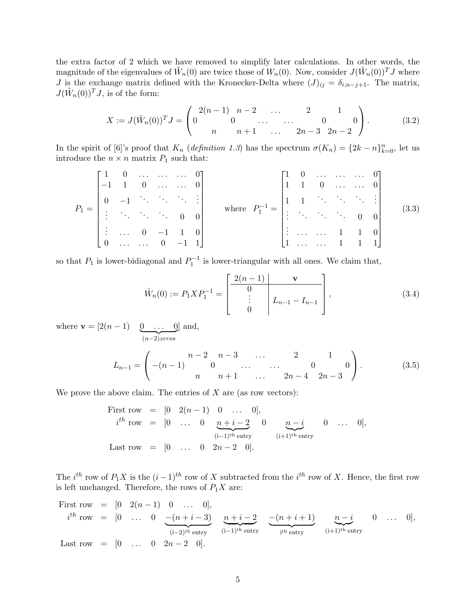the extra factor of 2 which we have removed to simplify later calculations. In other words, the magnitude of the eigenvalues of  $\tilde{W}_n(0)$  are twice those of  $W_n(0)$ . Now, consider  $J(\tilde{W}_n(0))^T J$  where J is the exchange matrix defined with the Kronecker-Delta where  $(J)_{ij} = \delta_{i,n-j+1}$ . The matrix,  $J(\tilde{W}_n(0))^T J$ , is of the form:

$$
X := J(\tilde{W}_n(0))^T J = \begin{pmatrix} 2(n-1) & n-2 & \dots & 2 & 1 \\ 0 & 0 & \dots & \dots & 0 & 0 \\ n & n+1 & \dots & 2n-3 & 2n-2 \end{pmatrix}.
$$
 (3.2)

In the spirit of [6]'s proof that  $K_n$  (definition 1.3) has the spectrum  $\sigma(K_n) = \{2k - n\}_{k=0}^n$ , let us introduce the  $n\times n$  matrix  $P_1$  such that:

$$
P_1 = \begin{bmatrix} 1 & 0 & \dots & \dots & 0 \\ -1 & 1 & 0 & \dots & \dots & 0 \\ 0 & -1 & \ddots & \ddots & \ddots & \vdots \\ \vdots & \ddots & \ddots & \ddots & 0 & 0 \\ \vdots & \dots & 0 & -1 & 1 & 0 \\ 0 & \dots & \dots & 0 & -1 & 1 \end{bmatrix} \quad \text{where } P_1^{-1} = \begin{bmatrix} 1 & 0 & \dots & \dots & \dots & 0 \\ 1 & 1 & 0 & \dots & \dots & 0 \\ \vdots & \vdots & \ddots & \ddots & \ddots & \vdots \\ \vdots & \ddots & \ddots & \ddots & 0 & 0 \\ \vdots & \ddots & \ddots & 1 & 1 & 0 \\ 1 & \dots & \dots & 1 & 1 & 1 \end{bmatrix} \quad (3.3)
$$

so that  $P_1$  is lower-bidiagonal and  $P_1^{-1}$  is lower-triangular with all ones. We claim that,

$$
\mathring{W}_n(0) := P_1 X P_1^{-1} = \begin{bmatrix} 2(n-1) & \mathbf{v} \\ 0 & \cdots \\ 0 & \cdots \end{bmatrix}, \qquad (3.4)
$$

where  $v = [2(n-1) \ 0 \dots \ 0]$  $(n-2)$ zeros ] and,

$$
L_{n-1} = \left( -(n-1) \begin{array}{cccc} n-2 & n-3 & \dots & 2 & 1 \\ 0 & \dots & \dots & 0 & 0 \\ n & n+1 & \dots & 2n-4 & 2n-3 \end{array} \right). \tag{3.5}
$$

We prove the above claim. The entries of  $X$  are (as row vectors):

First row = 
$$
[0 \ 2(n-1) \ 0 \ \dots \ 0],
$$
  
\n $i^{th}$  row =  $[0 \ \dots \ 0 \ \underbrace{n+i-2}_{(i-1)^{th} entry} \ 0 \ \underbrace{n-i}_{(i+1)^{th} entry} \ 0 \ \dots \ 0],$   
\nLast row =  $[0 \ \dots \ 0 \ 2n-2 \ 0].$ 

The  $i^{th}$  row of  $P_1X$  is the  $(i-1)^{th}$  row of X subtracted from the  $i^{th}$  row of X. Hence, the first row is left unchanged. Therefore, the rows of  $P_1X$  are:

First row = 
$$
[0 \ 2(n-1) \ 0 \ \ldots \ 0]
$$
,  
\n $i^{th}$  row =  $[0 \ \ldots \ 0 \ \underbrace{-(n+i-3)}_{(i-2)^{th} \text{ entry}} \ \underbrace{n+i-2}_{(i-1)^{th} \text{ entry}} \ \underbrace{-(n+i+1)}_{i^{th} \text{ entry}} \ \underbrace{n-i}_{(i+1)^{th} \text{ entry}} \ 0 \ \ldots \ 0],$   
\nLast row =  $[0 \ \ldots \ 0 \ 2n-2 \ 0].$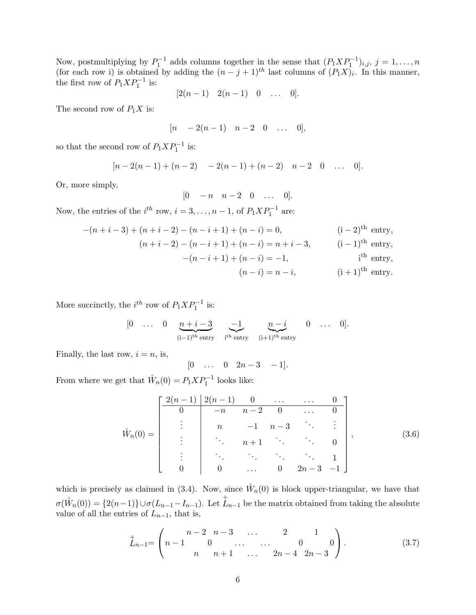Now, postmultiplying by  $P_1^{-1}$  adds columns together in the sense that  $(P_1 X P_1^{-1})_{i,j}, j = 1, \ldots, n$ (for each row i) is obtained by adding the  $(n-j+1)$ <sup>th</sup> last columns of  $(P_1X)_i$ . In this manner, the first row of  $P_1 X P_1^{-1}$  is:

$$
[2(n-1) \quad 2(n-1) \quad 0 \quad \dots \quad 0].
$$

The second row of  $P_1X$  is:

$$
[n - 2(n-1) n - -2 0 \dots 0],
$$

so that the second row of  $P_1 X P_1^{-1}$  is:

$$
[n-2(n-1)+(n-2) -2(n-1)+(n-2) n-2 0 \dots 0].
$$

Or, more simply,

$$
[0 -n n-2 0 \dots 0].
$$

Now, the entries of the  $i^{th}$  row,  $i = 3, ..., n - 1$ , of  $P_1 X P_1^{-1}$  are:

$$
-(n+i-3) + (n+i-2) - (n-i+1) + (n-i) = 0,
$$
  
\n
$$
(n+i-2) - (n-i+1) + (n-i) = n+i-3,
$$
  
\n
$$
-(n-i+1) + (n-i) = -1,
$$
  
\n
$$
(i-1)
$$
<sup>th</sup> entry,  
\n
$$
(i-1)
$$
<sup>th</sup> entry,  
\n
$$
(n-i) = n-i,
$$
  
\n
$$
(i+1)
$$
<sup>th</sup> entry.

More succinctly, the  $i^{th}$  row of  $P_1 X P_1^{-1}$  is:

$$
\begin{array}{ccccccccc}\n[0 & \dots & 0 & \underbrace{n+i-3}_{(i-1)^{\text{th entry}}} & \underbrace{-1}_{i^{\text{th entry}}} & \underbrace{n-i}_{(i+1)^{\text{th entry}}} & 0 & \dots & 0\n\end{array}.
$$

Finally, the last row,  $i = n$ , is,

$$
[0 \quad \dots \quad 0 \quad 2n-3 \quad -1].
$$

From where we get that  $\mathring{W}_n(0) = P_1 X P_1^{-1}$  looks like:

$$
\mathring{W}_n(0) = \begin{bmatrix}\n2(n-1) & 2(n-1) & 0 & \dots & \dots & 0 \\
0 & -n & n-2 & 0 & \dots & 0 \\
\vdots & \vdots & \ddots & \ddots & \vdots & \vdots \\
0 & 0 & \dots & 0 & 2n-3 & -1\n\end{bmatrix},
$$
\n(3.6)

which is precisely as claimed in (3.4). Now, since  $\mathring{W}_n(0)$  is block upper-triangular, we have that  $\sigma(\mathring{W}_n(0)) = \{2(n-1)\}\cup \sigma(L_{n-1}-I_{n-1})$ . Let  $\overrightarrow{L}_{n-1}$  be the matrix obtained from taking the absolute value of all the entries of  $L_{n-1}$ , that is,

$$
\stackrel{+}{L}_{n-1} = \begin{pmatrix} n-2 & n-3 & \dots & 2 & 1 \\ n-1 & 0 & \dots & \dots & 0 & 0 \\ n & n+1 & \dots & 2n-4 & 2n-3 \end{pmatrix}.
$$
 (3.7)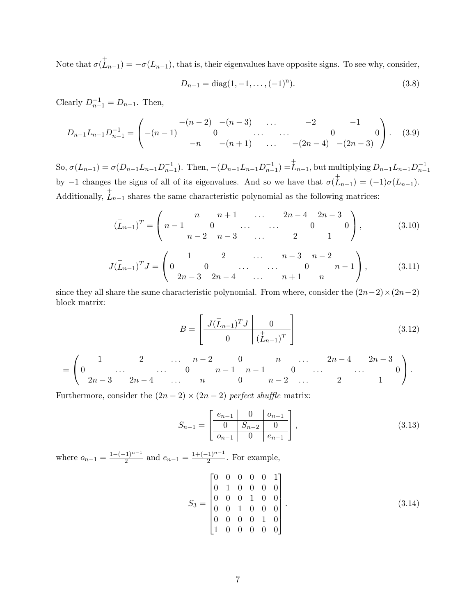Note that  $\sigma(\stackrel{+}{L}_{n-1}) = -\sigma(L_{n-1}),$  that is, their eigenvalues have opposite signs. To see why, consider,

$$
D_{n-1} = \text{diag}(1, -1, \dots, (-1)^n). \tag{3.8}
$$

Clearly  $D_{n-1}^{-1} = D_{n-1}$ . Then,

$$
D_{n-1}L_{n-1}D_{n-1}^{-1} = \begin{pmatrix} -(n-2) & -(n-3) & \cdots & -2 & -1 \\ -(n-1) & 0 & \cdots & \cdots & 0 & 0 \\ -n & -(n+1) & \cdots & -(2n-4) & -(2n-3) \end{pmatrix}.
$$
 (3.9)

So,  $\sigma(L_{n-1}) = \sigma(D_{n-1}L_{n-1}D_{n-1}^{-1})$ . Then,  $-(D_{n-1}L_{n-1}D_{n-1}^{-1}) = L_{n-1}$ , but multiplying  $D_{n-1}L_{n-1}D_{n-1}^{-1}$ by  $-1$  changes the signs of all of its eigenvalues. And so we have that  $\sigma(\stackrel{+}{L}_{n-1}) = (-1)\sigma(L_{n-1})$ . Additionally,  $\overrightarrow{L}_{n-1}$  shares the same characteristic polynomial as the following matrices:

$$
(\dot{\bar{L}}_{n-1})^T = \left(n - 1 \begin{array}{cccc} n & n+1 & \dots & 2n-4 & 2n-3 \\ 0 & \dots & \dots & 0 & 0 \\ n-2 & n-3 & \dots & 2 & 1 \end{array}\right), \tag{3.10}
$$

$$
J(\stackrel{+}{L}_{n-1})^T J = \begin{pmatrix} 1 & 2 & \dots & n-3 & n-2 \\ 0 & 0 & \dots & \dots & 0 & n-1 \\ 2n-3 & 2n-4 & \dots & n+1 & n \end{pmatrix},
$$
 (3.11)

since they all share the same characteristic polynomial. From where, consider the  $(2n-2) \times (2n-2)$ block matrix:

$$
B = \left[ \begin{array}{c|c} J(\dot{L}_{n-1})^T J & 0 \\ \hline 0 & (\dot{L}_{n-1})^T \end{array} \right] \tag{3.12}
$$

$$
= \left( \begin{array}{ccccccccc} 1 & 2 & \ldots & n-2 & 0 & n & \ldots & 2n-4 & 2n-3 \\ 0 & \ldots & \ldots & 0 & n-1 & n-1 & 0 & \ldots & \ldots & 0 \\ 2n-3 & 2n-4 & \ldots & n & 0 & n-2 & \ldots & 2 & 1 \end{array} \right).
$$

Furthermore, consider the  $(2n - 2) \times (2n - 2)$  perfect shuffle matrix:

$$
S_{n-1} = \left[ \begin{array}{c|c} e_{n-1} & 0 & o_{n-1} \\ \hline 0 & S_{n-2} & 0 \\ \hline o_{n-1} & 0 & e_{n-1} \end{array} \right],
$$
\n(3.13)

where  $o_{n-1} = \frac{1 - (-1)^{n-1}}{2}$  $\frac{(n-1)^{n-1}}{2}$  and  $e_{n-1} = \frac{1+(-1)^{n-1}}{2}$  $\frac{(1)^{n}}{2}$ . For example,

$$
S_3 = \begin{bmatrix} 0 & 0 & 0 & 0 & 0 & 1 \\ 0 & 1 & 0 & 0 & 0 & 0 \\ 0 & 0 & 0 & 1 & 0 & 0 \\ 0 & 0 & 1 & 0 & 0 & 0 \\ 0 & 0 & 0 & 0 & 1 & 0 \\ 1 & 0 & 0 & 0 & 0 & 0 \end{bmatrix}.
$$
 (3.14)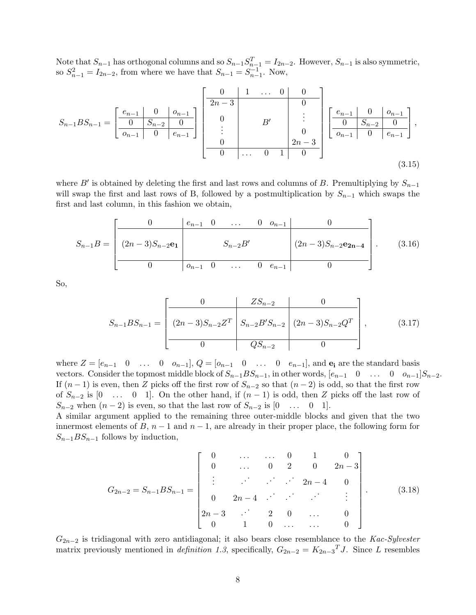Note that  $S_{n-1}$  has orthogonal columns and so  $S_{n-1}S_{n-1}^T = I_{2n-2}$ . However,  $S_{n-1}$  is also symmetric, so  $S_{n-1}^2 = I_{2n-2}$ , from where we have that  $S_{n-1} = S_{n-1}^{-1}$ . Now,

$$
S_{n-1}BS_{n-1} = \left[\begin{array}{c|c|c} e_{n-1} & 0 & 0 & 0 \\ \hline 0 & S_{n-2} & 0 \\ \hline o_{n-1} & 0 & e_{n-1} \end{array}\right] \left[\begin{array}{c|c|c} 0 & 1 & \dots & 0 & 0 \\ \hline 2n-3 & & & 0 \\ 0 & & & \vdots \\ \hline 0 & & & 0 \\ 0 & & \dots & 0 & 1 \end{array}\right] \left[\begin{array}{c|c|c} e_{n-1} & 0 & 0 & 0 \\ \hline 0 & S_{n-2} & 0 & 0 \\ \hline o_{n-1} & 0 & e_{n-1} \end{array}\right],
$$
\n(3.15)

where B' is obtained by deleting the first and last rows and columns of B. Premultiplying by  $S_{n-1}$ will swap the first and last rows of B, followed by a postmultiplication by  $S_{n-1}$  which swaps the first and last column, in this fashion we obtain,

$$
S_{n-1}B = \begin{bmatrix} 0 & e_{n-1} & 0 & \dots & 0 & o_{n-1} & 0 \\ (2n-3)S_{n-2}e_1 & S_{n-2}B' & (2n-3)S_{n-2}e_{2n-4} \\ 0 & o_{n-1} & 0 & \dots & 0 & e_{n-1} & 0 \end{bmatrix}.
$$
 (3.16)

So,

$$
S_{n-1}BS_{n-1} = \left[\begin{array}{c|c} 0 & ZS_{n-2} & 0 \\ \hline (2n-3)S_{n-2}Z^T & S_{n-2}B'S_{n-2} & (2n-3)S_{n-2}Q^T \\ \hline 0 & QS_{n-2} & 0 \end{array}\right],\tag{3.17}
$$

where  $Z = [e_{n-1} \quad 0 \quad \dots \quad 0 \quad o_{n-1}], Q = [o_{n-1} \quad 0 \quad \dots \quad 0 \quad e_{n-1}],$  and  $e_i$  are the standard basis vectors. Consider the topmost middle block of  $S_{n-1}BS_{n-1}$ , in other words,  $[e_{n-1} \quad 0 \quad \dots \quad 0 \quad o_{n-1}]S_{n-2}$ . If  $(n-1)$  is even, then Z picks off the first row of  $S_{n-2}$  so that  $(n-2)$  is odd, so that the first row of  $S_{n-2}$  is  $[0 \dots 0 \ 1]$ . On the other hand, if  $(n-1)$  is odd, then Z picks off the last row of  $S_{n-2}$  when  $(n-2)$  is even, so that the last row of  $S_{n-2}$  is  $[0 \dots 0 \ 1]$ .

A similar argument applied to the remaining three outer-middle blocks and given that the two innermost elements of B,  $n-1$  and  $n-1$ , are already in their proper place, the following form for  $S_{n-1}BS_{n-1}$  follows by induction,

$$
G_{2n-2} = S_{n-1}BS_{n-1} = \begin{bmatrix} 0 & \cdots & \cdots & 0 & 1 & 0 \\ 0 & \cdots & 0 & 2 & 0 & 2n-3 \\ \vdots & \vdots & \ddots & \vdots & 2n-4 & 0 \\ 0 & 2n-4 & \cdots & \cdots & \vdots \\ 2n-3 & \cdots & 2 & 0 & \cdots & 0 \\ 0 & 1 & 0 & \cdots & \cdots & 0 \end{bmatrix} .
$$
 (3.18)

 $G_{2n-2}$  is tridiagonal with zero antidiagonal; it also bears close resemblance to the Kac-Sylvester matrix previously mentioned in *definition 1.3*, specifically,  $G_{2n-2} = K_{2n-3}^T J$ . Since L resembles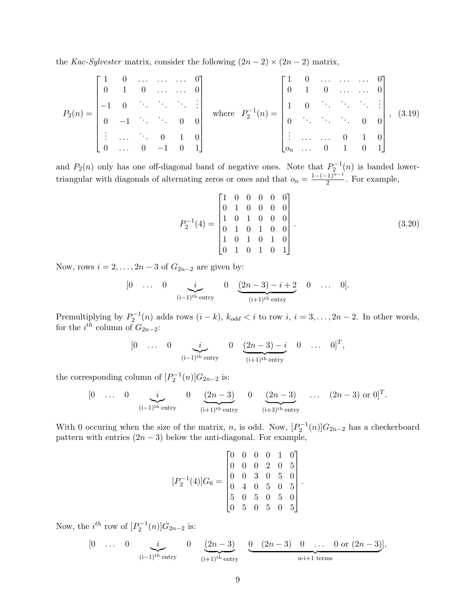the Kac-Sylvester matrix, consider the following  $(2n-2) \times (2n-2)$  matrix,

$$
P_2(n) = \begin{bmatrix} 1 & 0 & \dots & \dots & 0 \\ 0 & 1 & 0 & \dots & \dots & 0 \\ -1 & 0 & \ddots & \ddots & \ddots & \vdots \\ 0 & -1 & \ddots & \ddots & 0 & 0 \\ \vdots & \dots & \ddots & 0 & 1 & 0 \\ 0 & \dots & 0 & -1 & 0 & 1 \end{bmatrix} \quad \text{where} \quad P_2^{-1}(n) = \begin{bmatrix} 1 & 0 & \dots & \dots & 0 \\ 0 & 1 & 0 & \dots & \dots & 0 \\ 1 & 0 & \ddots & \ddots & \ddots & \vdots \\ 0 & \ddots & \ddots & \ddots & 0 & 0 \\ \vdots & \dots & \dots & 0 & 1 & 0 \\ 0 & \dots & \dots & 0 & 1 & 0 \end{bmatrix}, (3.19)
$$

and  $P_2(n)$  only has one off-diagonal band of negative ones. Note that  $P_2^{-1}(n)$  is banded lowertriangular with diagonals of alternating zeros or ones and that  $o_n = \frac{1 - (-1)^{n-1}}{2}$  $\frac{(1)^n}{2}$ . For example,

$$
P_2^{-1}(4) = \begin{bmatrix} 1 & 0 & 0 & 0 & 0 & 0 \\ 0 & 1 & 0 & 0 & 0 & 0 \\ 1 & 0 & 1 & 0 & 0 & 0 \\ 0 & 1 & 0 & 1 & 0 & 0 \\ 1 & 0 & 1 & 0 & 1 & 0 \\ 0 & 1 & 0 & 1 & 0 & 1 \end{bmatrix} .
$$
 (3.20)

Now, rows  $i = 2, \ldots, 2n - 3$  of  $G_{2n-2}$  are given by:

$$
\begin{array}{ccccccccc}\n[0 & \dots & 0 & \underbrace{i}_{(i-1)^{\text{th}}} & 0 & \underbrace{(2n-3)-i+2}_{(i+1)^{\text{th}} \text{ entry}} & 0 & \dots & 0\n\end{array}.
$$

Premultiplying by  $P_2^{-1}(n)$  adds rows  $(i - k)$ ,  $k_{odd} < i$  to row  $i, i = 3, ..., 2n - 2$ . In other words, for the  $i^{th}$  column of  $G_{2n-2}$ :

$$
\begin{array}{ccccccccc}\n[0 & \dots & 0 & \underbrace{i}_{(i-1)^{\text{th}}} & 0 & \underbrace{(2n-3)-i}_{(i+1)^{\text{th}} \text{ entry}} & 0 & \dots & 0]^T,\n\end{array}
$$

the corresponding column of  $[P_2^{-1}(n)]G_{2n-2}$  is:

$$
\begin{array}{ccccccccc}\n[0 & \dots & 0 & \underbrace{i}_{(i-1)^{\text{th}}} & 0 & \underbrace{(2n-3)}_{(i+1)^{\text{th}} \text{entry}} & 0 & \underbrace{(2n-3)}_{(i+3)^{\text{th}} \text{entry}} & \dots & (2n-3) \text{ or } 0]^T.\n\end{array}
$$

With 0 occuring when the size of the matrix, n, is odd. Now,  $[P_2^{-1}(n)]G_{2n-2}$  has a checkerboard pattern with entries  $(2n-3)$  below the anti-diagonal. For example,

$$
[P_2^{-1}(4)]G_6 = \begin{bmatrix} 0 & 0 & 0 & 0 & 1 & 0 \\ 0 & 0 & 0 & 2 & 0 & 5 \\ 0 & 0 & 3 & 0 & 5 & 0 \\ 0 & 4 & 0 & 5 & 0 & 5 \\ 5 & 0 & 5 & 0 & 5 & 0 \\ 0 & 5 & 0 & 5 & 0 & 5 \end{bmatrix}.
$$

Now, the  $i^{th}$  row of  $[P_2^{-1}(n)]G_{2n-2}$  is:

$$
\begin{array}{ccccccccc}\n[0 & \dots & 0 & \underbrace{i}_{(i-1)^{\text{th}}} & 0 & \underbrace{(2n-3)}_{(i+1)^{\text{th}} \text{ entry}} & \underbrace{0 & (2n-3) & 0 & \dots & 0 \text{ or } (2n-3)}_{n-i+1 \text{ terms}}\n\end{array}
$$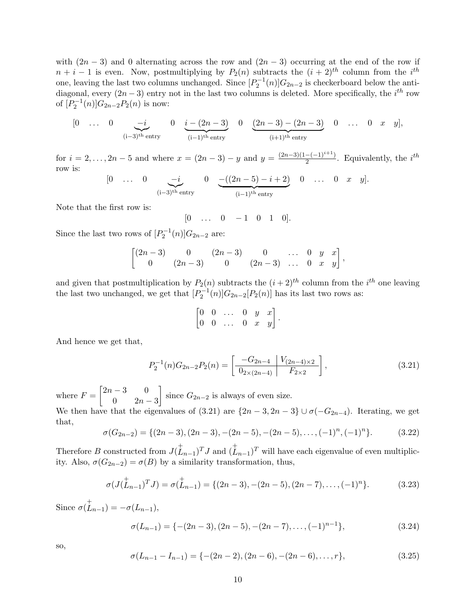with  $(2n-3)$  and 0 alternating across the row and  $(2n-3)$  occurring at the end of the row if  $n + i - 1$  is even. Now, postmultiplying by  $P_2(n)$  subtracts the  $(i + 2)^{th}$  column from the  $i^{th}$ one, leaving the last two columns unchanged. Since  $[P_2^{-1}(n)]G_{2n-2}$  is checkerboard below the antidiagonal, every  $(2n-3)$  entry not in the last two columns is deleted. More specifically, the  $i^{th}$  row of  $[P_2^{-1}(n)]G_{2n-2}P_2(n)$  is now:

$$
\begin{array}{ccccccccc}\n[0 & \dots & 0 & \underbrace{-i}_{(i-3)^{\text{th}}} & 0 & \underbrace{i-(2n-3)}_{(i-1)^{\text{th}}} & 0 & \underbrace{(2n-3)-(2n-3)}_{(i+1)^{\text{th}}} & 0 & \dots & 0 & x & y],\n\end{array}
$$

for  $i = 2, \ldots, 2n - 5$  and where  $x = (2n - 3) - y$  and  $y = \frac{(2n-3)(1 - (-1)^{i+1})}{2}$  $\frac{-(-1)^{i+1}}{2}$ . Equivalently, the *i*<sup>th</sup> row is:

$$
\begin{array}{ccccccccc}\n[0 & \dots & 0 & \underbrace{-i}_{(i-3)^{\text{th}}} & 0 & \underbrace{-( (2n-5) - i + 2 )}_{(i-1)^{\text{th}} \text{ entry}} & 0 & \dots & 0 & x & y].\n\end{array}
$$

Note that the first row is:

 $[0 \dots 0 -1 0 1 0].$ 

Since the last two rows of  $[P_2^{-1}(n)]G_{2n-2}$  are:

$$
\begin{bmatrix}\n(2n-3) & 0 & (2n-3) & 0 & \dots & 0 & y & x \\
0 & (2n-3) & 0 & (2n-3) & \dots & 0 & x & y\n\end{bmatrix},
$$

and given that postmultiplication by  $P_2(n)$  subtracts the  $(i+2)^{th}$  column from the  $i^{th}$  one leaving the last two unchanged, we get that  $[P_2^{-1}(n)]G_{2n-2}[P_2(n)]$  has its last two rows as:

$$
\begin{bmatrix} 0 & 0 & \dots & 0 & y & x \\ 0 & 0 & \dots & 0 & x & y \end{bmatrix}
$$

And hence we get that,

$$
P_2^{-1}(n)G_{2n-2}P_2(n) = \left[\begin{array}{c|c} -G_{2n-4} & V_{(2n-4)\times 2} \\ \hline 0_{2\times (2n-4)} & F_{2\times 2} \end{array}\right],\tag{3.21}
$$

.

where  $F = \begin{bmatrix} 2n - 3 & 0 \\ 0 & 2n \end{bmatrix}$ 0  $2n-3$ since  $G_{2n-2}$  is always of even size. We then have that the eigenvalues of (3.21) are  $\{2n-3, 2n-3\} \cup \sigma(-G_{2n-4})$ . Iterating, we get that,

$$
\sigma(G_{2n-2}) = \{(2n-3), (2n-3), -(2n-5), -(2n-5), \dots, (-1)^n, (-1)^n\}.
$$
 (3.22)

Therefore B constructed from  $J(\stackrel{+}{L}_{n-1})^T J$  and  $(\stackrel{+}{L}_{n-1})^T$  will have each eigenvalue of even multiplicity. Also,  $\sigma(G_{2n-2}) = \sigma(B)$  by a similarity transformation, thus,

$$
\sigma(J(\stackrel{+}{L}_{n-1})^T J) = \sigma(\stackrel{+}{L}_{n-1}) = \{ (2n-3), -(2n-5), (2n-7), \dots, (-1)^n \}. \tag{3.23}
$$

Since  $\sigma(\stackrel{+}{L}_{n-1}) = -\sigma(L_{n-1}),$ 

$$
\sigma(L_{n-1}) = \{-(2n-3), (2n-5), -(2n-7), \dots, (-1)^{n-1}\},\tag{3.24}
$$

so,

$$
\sigma(L_{n-1} - I_{n-1}) = \{-(2n-2), (2n-6), -(2n-6), \dots, r\},\tag{3.25}
$$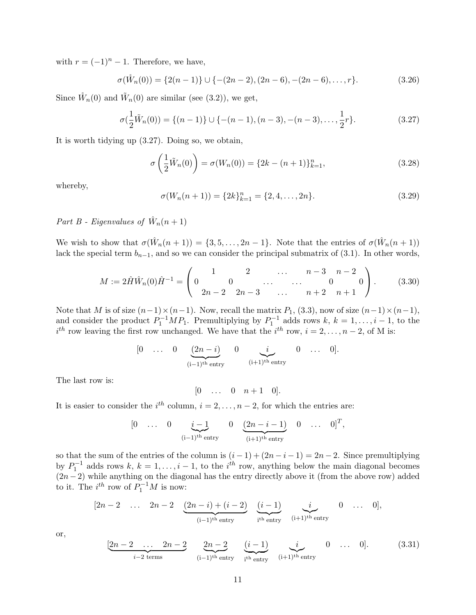with  $r = (-1)^n - 1$ . Therefore, we have,

$$
\sigma(\mathring{W}_n(0)) = \{2(n-1)\} \cup \{-(2n-2), (2n-6), -(2n-6), \dots, r\}.
$$
\n(3.26)

Since  $\mathring{W}_n(0)$  and  $\mathring{W}_n(0)$  are similar (see (3.2)), we get,

$$
\sigma(\frac{1}{2}\tilde{W}_n(0)) = \{(n-1)\} \cup \{-(n-1), (n-3), -(n-3), \dots, \frac{1}{2}r\}.
$$
 (3.27)

It is worth tidying up (3.27). Doing so, we obtain,

$$
\sigma\left(\frac{1}{2}\tilde{W}_n(0)\right) = \sigma(W_n(0)) = \{2k - (n+1)\}_{k=1}^n,
$$
\n(3.28)

whereby,

$$
\sigma(W_n(n+1)) = \{2k\}_{k=1}^n = \{2, 4, \dots, 2n\}.
$$
\n(3.29)

Part B - Eigenvalues of  $\hat{W}_n(n+1)$ 

We wish to show that  $\sigma(\hat{W}_n(n+1)) = \{3, 5, ..., 2n-1\}$ . Note that the entries of  $\sigma(\hat{W}_n(n+1))$ lack the special term  $b_{n-1}$ , and so we can consider the principal submatrix of (3.1). In other words,

$$
M := 2\hat{H}\hat{W}_n(0)\hat{H}^{-1} = \begin{pmatrix} 1 & 2 & \dots & n-3 & n-2 \\ 0 & 0 & \dots & \dots & 0 & 0 \\ 2n-2 & 2n-3 & \dots & n+2 & n+1 \end{pmatrix}.
$$
 (3.30)

Note that M is of size  $(n-1)\times(n-1)$ . Now, recall the matrix  $P_1$ , (3.3), now of size  $(n-1)\times(n-1)$ , and consider the product  $P_1^{-1}MP_1$ . Premultiplying by  $P_1^{-1}$  adds rows  $k, k = 1, \ldots, i-1$ , to the  $i^{th}$  row leaving the first row unchanged. We have that the  $i^{th}$  row,  $i = 2, \ldots, n-2$ , of M is:

$$
\begin{array}{ccccccccc}\n[0 & \dots & 0 & \underbrace{(2n-i)}_{(i-1)^{\text{th}} \text{ entry}} & 0 & \underbrace{i}_{(i+1)^{\text{th}} \text{ entry}} & 0 & \dots & 0\n\end{array}.
$$

The last row is:

 $[0 \dots 0 \quad n+1 \quad 0].$ 

It is easier to consider the  $i^{th}$  column,  $i = 2, \ldots, n-2$ , for which the entries are:

$$
\begin{array}{ccccccccc}\n[0 & \dots & 0 & \underbrace{i-1}_{(i-1)^{\text{th}}} & 0 & \underbrace{(2n-i-1)}_{(i+1)^{\text{th}} \text{ entry}} & 0 & \dots & 0]^T,\n\end{array}
$$

so that the sum of the entries of the column is  $(i-1) + (2n-i-1) = 2n-2$ . Since premultiplying by  $P_1^{-1}$  adds rows  $k, k = 1, ..., i - 1$ , to the  $i^{th}$  row, anything below the main diagonal becomes  $(2n-2)$  while anything on the diagonal has the entry directly above it (from the above row) added to it. The  $i^{th}$  row of  $P_1^{-1}M$  is now:

$$
[2n-2 \dots 2n-2 \underbrace{(2n-i)+(i-2)}_{(i-1)^{\text{th entry}}} \underbrace{(i-1)}_{i^{\text{th entry}}} \underbrace{i}_{(i+1)^{\text{th entry}}} 0 \dots 0],
$$

or,

$$
\underbrace{[2n-2 \ldots 2n-2}_{i-2 \text{ terms}} \underbrace{2n-2}_{\text{(i-1)}^{\text{th entry}}} \underbrace{(i-1)}_{i^{\text{th entry}}} \underbrace{i \ldots 0}_{\text{(i+1)}^{\text{th entry}}} 0 \ldots 0]. \tag{3.31}
$$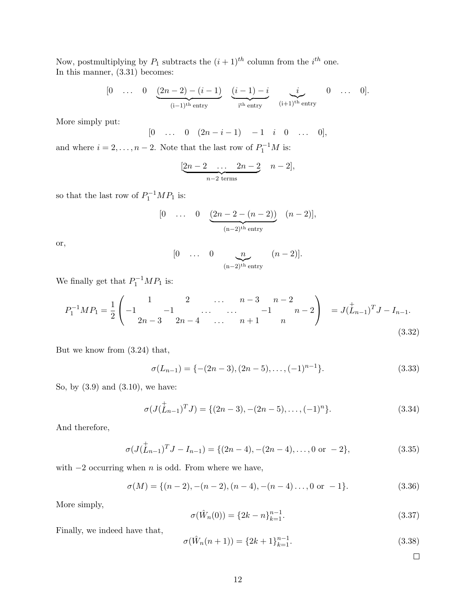Now, postmultiplying by  $P_1$  subtracts the  $(i+1)$ <sup>th</sup> column from the *i*<sup>th</sup> one. In this manner, (3.31) becomes:

$$
\begin{array}{ccccccccc}\n[0 & \dots & 0 & \underbrace{(2n-2)-(i-1)}_{(i-1)^{\text{th}} \text{ entry}} & \underbrace{(i-1)-i}_{i^{\text{th}} \text{ entry}} & \underbrace{i}_{(i+1)^{\text{th}} \text{ entry}} & 0 & \dots & 0\n\end{array}.
$$

More simply put:

 $[0 \quad \dots \quad 0 \quad (2n-i-1) \quad -1 \quad i \quad 0 \quad \dots \quad 0],$ 

and where  $i = 2, \ldots, n - 2$ . Note that the last row of  $P_1^{-1}M$  is:

$$
\underbrace{[2n-2 \ \ldots \ 2n-2}_{n-2 \ \text{terms}} \quad n-2],
$$

so that the last row of  $P_1^{-1}MP_1$  is:

$$
[0 \quad \dots \quad 0 \quad \underbrace{(2n-2-(n-2))}_{(n-2)^{\text{th entry}}} \quad (n-2)],
$$

or,

$$
[0 \quad \dots \quad 0 \quad \underbrace{n}_{(n-2)^{\text{th} \text{ entry}}} \quad (n-2)].
$$

We finally get that  $P_1^{-1}MP_1$  is:

$$
P_1^{-1}MP_1 = \frac{1}{2} \begin{pmatrix} 1 & 2 & \cdots & n-3 & n-2 \\ -1 & -1 & \cdots & \cdots & -1 & n-2 \\ 2n-3 & 2n-4 & \cdots & n+1 & n \end{pmatrix} = J(\stackrel{+}{L}_{n-1})^T J - I_{n-1}.
$$
\n(3.32)

But we know from (3.24) that,

$$
\sigma(L_{n-1}) = \{-(2n-3), (2n-5), \dots, (-1)^{n-1}\}.
$$
\n(3.33)

So, by (3.9) and (3.10), we have:

$$
\sigma(J(\stackrel{+}{L}_{n-1})^T J) = \{(2n-3), -(2n-5), \dots, (-1)^n\}.
$$
\n(3.34)

And therefore,

$$
\sigma(J(\stackrel{+}{L}_{n-1})^T J - I_{n-1}) = \{(2n-4), -(2n-4), \dots, 0 \text{ or } -2\},\tag{3.35}
$$

with  $-2$  occurring when n is odd. From where we have,

$$
\sigma(M) = \{(n-2), -(n-2), (n-4), -(n-4) \dots, 0 \text{ or } -1\}.
$$
 (3.36)

More simply,

$$
\sigma(\hat{W}_n(0)) = \{2k - n\}_{k=1}^{n-1}.
$$
\n(3.37)

Finally, we indeed have that,

$$
\sigma(\hat{W}_n(n+1)) = \{2k+1\}_{k=1}^{n-1}.
$$
\n(3.38)

 $\Box$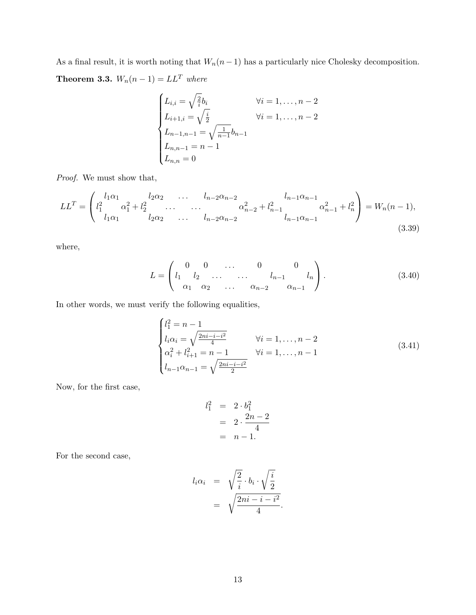As a final result, it is worth noting that  $W_n(n-1)$  has a particularly nice Cholesky decomposition. **Theorem 3.3.**  $W_n(n-1) = LL^T$  where

$$
\begin{cases}\nL_{i,i} = \sqrt{\frac{2}{i}}b_i & \forall i = 1, ..., n-2 \\
L_{i+1,i} = \sqrt{\frac{i}{2}} & \forall i = 1, ..., n-2 \\
L_{n-1,n-1} = \sqrt{\frac{1}{n-1}}b_{n-1} \\
L_{n,n-1} = n-1 & \n\end{cases}
$$

Proof. We must show that,

$$
LL^{T} = \begin{pmatrix} l_{1}\alpha_{1} & l_{2}\alpha_{2} & \dots & l_{n-2}\alpha_{n-2} & l_{n-1}\alpha_{n-1} \\ l_{1}^{2} & \alpha_{1}^{2} + l_{2}^{2} & \dots & \dots & \alpha_{n-2}^{2} + l_{n-1}^{2} & \alpha_{n-1}^{2} + l_{n}^{2} \\ l_{1}\alpha_{1} & l_{2}\alpha_{2} & \dots & l_{n-2}\alpha_{n-2} & l_{n-1}\alpha_{n-1} \end{pmatrix} = W_{n}(n-1),
$$
\n(3.39)

where,

$$
L = \begin{pmatrix} 0 & 0 & \dots & 0 & 0 \\ l_1 & l_2 & \dots & \dots & l_{n-1} & l_n \\ \alpha_1 & \alpha_2 & \dots & \alpha_{n-2} & \alpha_{n-1} \end{pmatrix}.
$$
 (3.40)

In other words, we must verify the following equalities,

$$
\begin{cases}\n l_1^2 = n - 1 \\
 l_i \alpha_i = \sqrt{\frac{2ni - i - i^2}{4}} \\
 \alpha_i^2 + l_{i+1}^2 = n - 1 \\
 l_{n-1} \alpha_{n-1} = \sqrt{\frac{2ni - i - i^2}{2}}\n \end{cases}\n \forall i = 1, ..., n - 2\n \tag{3.41}
$$

Now, for the first case,

$$
l_1^2 = 2 \cdot b_1^2
$$
  
= 2 \cdot \frac{2n-2}{4}  
= n-1.

For the second case,

$$
l_i \alpha_i = \sqrt{\frac{2}{i}} \cdot b_i \cdot \sqrt{\frac{i}{2}}
$$

$$
= \sqrt{\frac{2ni - i - i^2}{4}}.
$$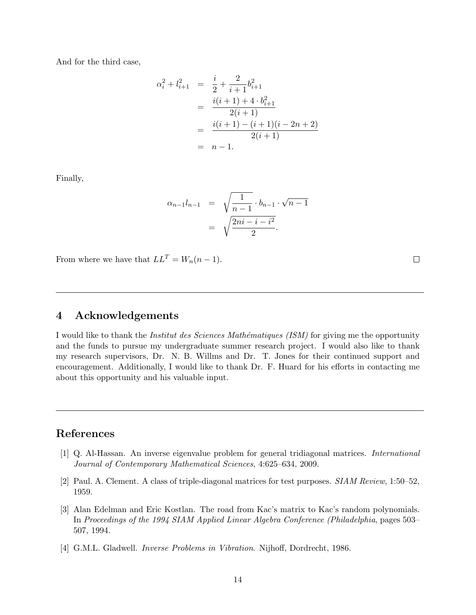And for the third case,

$$
\alpha_i^2 + l_{i+1}^2 = \frac{i}{2} + \frac{2}{i+1}b_{i+1}^2
$$
  
= 
$$
\frac{i(i+1) + 4 \cdot b_{i+1}^2}{2(i+1)}
$$
  
= 
$$
\frac{i(i+1) - (i+1)(i-2n+2)}{2(i+1)}
$$
  
= 
$$
n-1.
$$

Finally,

$$
\alpha_{n-1}l_{n-1} = \sqrt{\frac{1}{n-1} \cdot b_{n-1} \cdot \sqrt{n-1}}
$$
  
=  $\sqrt{\frac{2ni - i - i^2}{2}}$ .

From where we have that  $LL^T = W_n(n-1)$ .

#### 4 Acknowledgements

I would like to thank the *Institut des Sciences Mathématiques (ISM)* for giving me the opportunity and the funds to pursue my undergraduate summer research project. I would also like to thank my research supervisors, Dr. N. B. Willms and Dr. T. Jones for their continued support and encouragement. Additionally, I would like to thank Dr. F. Huard for his efforts in contacting me about this opportunity and his valuable input.

## References

- [1] Q. Al-Hassan. An inverse eigenvalue problem for general tridiagonal matrices. International Journal of Contemporary Mathematical Sciences, 4:625–634, 2009.
- [2] Paul. A. Clement. A class of triple-diagonal matrices for test purposes. SIAM Review, 1:50–52, 1959.
- [3] Alan Edelman and Eric Kostlan. The road from Kac's matrix to Kac's random polynomials. In Proceedings of the 1994 SIAM Applied Linear Algebra Conference (Philadelphia, pages 503– 507, 1994.
- [4] G.M.L. Gladwell. Inverse Problems in Vibration. Nijhoff, Dordrecht, 1986.

 $\Box$